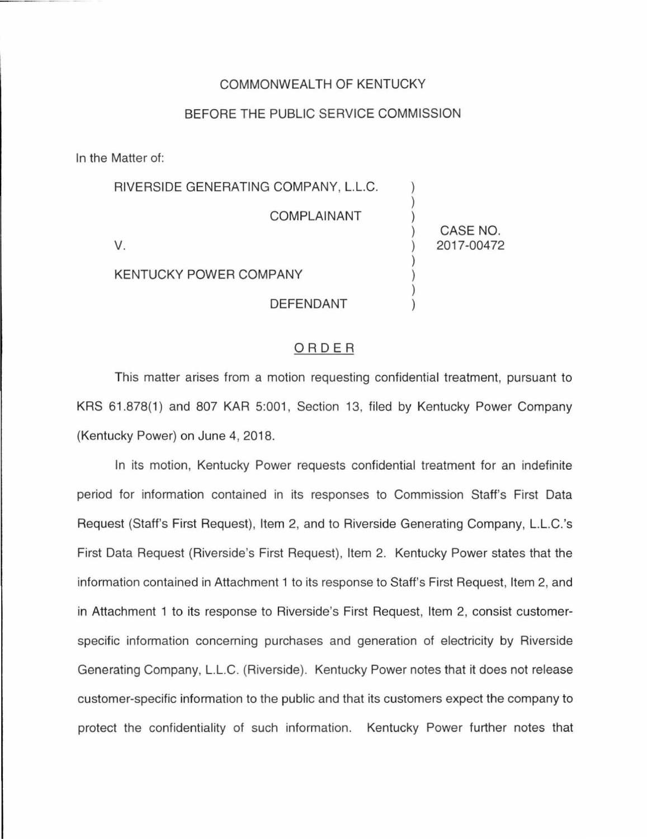## COMMONWEALTH OF KENTUCKY

## BEFORE THE PUBLIC SERVICE COMMISSION

In the Matter of:

| RIVERSIDE GENERATING COMPANY, L.L.C. |            |
|--------------------------------------|------------|
| <b>COMPLAINANT</b>                   | CASE NO.   |
| V.                                   | 2017-00472 |
| <b>KENTUCKY POWER COMPANY</b>        |            |
| <b>DEFENDANT</b>                     |            |

## ORDER

This matter arises from a motion requesting confidential treatment, pursuant to KRS 61.878(1) and 807 KAR 5:001, Section 13, filed by Kentucky Power Company (Kentucky Power) on June 4, 2018.

In its motion, Kentucky Power requests confidential treatment for an indefinite period for information contained in its responses to Commission Staff's First Data Request (Staff's First Request), Item 2, and to Riverside Generating Company, L.L.C.'s First Data Request (Riverside's First Request), Item 2. Kentucky Power states that the information contained in Attachment 1 to its response to Staff's First Request, Item 2, and in Attachment 1 to its response to Riverside's First Request, Item 2, consist customerspecific information concerning purchases and generation of electricity by Riverside Generating Company, L.L.C. (Riverside). Kentucky Power notes that it does not release customer-specific information to the public and that its customers expect the company to protect the confidentiality of such information. Kentucky Power further notes that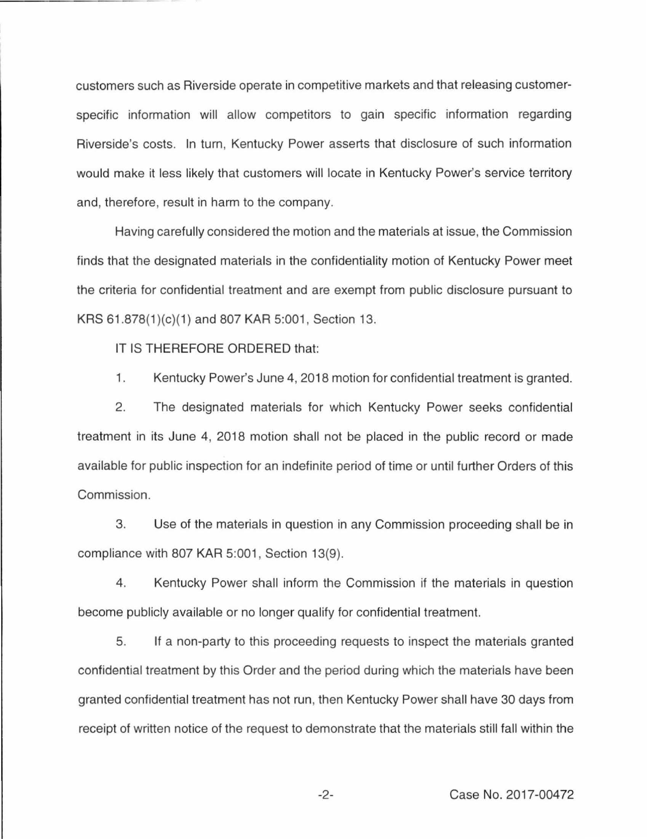customers such as Riverside operate in competitive markets and that releasing customerspecific information will allow competitors to gain specific information regarding Riverside's costs. In turn, Kentucky Power asserts that disclosure of such information would make it less likely that customers will locate in Kentucky Power's service territory and, therefore, result in harm to the company.

Having carefully considered the motion and the materials at issue, the Commission finds that the designated materials in the confidentiality motion of Kentucky Power meet the criteria for confidential treatment and are exempt from public disclosure pursuant to KRS 61.878(1)(c)(1) and 807 KAR 5:001, Section 13.

IT IS THEREFORE ORDERED that:

1. Kentucky Power's June 4, 2018 motion for confidential treatment is granted.

2. The designated materials for which Kentucky Power seeks confidential treatment in its June 4, 2018 motion shall not be placed in the public record or made available for public inspection for an indefinite period of time or until further Orders of this Commission.

3. Use of the materials in question in any Commission proceeding shall be in compliance with 807 KAR 5:001, Section 13(9).

4. Kentucky Power shall inform the Commission if the materials in question become publicly available or no longer qualify for confidential treatment.

5. If a non-party to this proceeding requests to inspect the materials granted confidential treatment by this Order and the period during which the materials have been granted confidential treatment has not run, then Kentucky Power shall have 30 days from receipt of written notice of the request to demonstrate that the materials still fall within the

-2- Case No. 2017-00472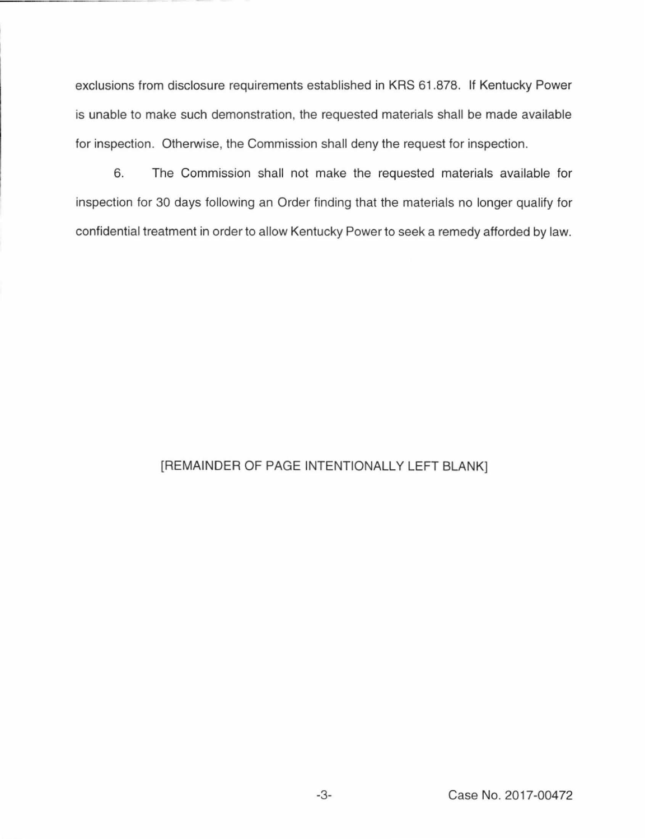exclusions from disclosure requirements established in KRS 61.878. If Kentucky Power is unable to make such demonstration, the requested materials shall be made available for inspection. Otherwise, the Commission shall deny the request for inspection.

6. The Commission shall not make the requested materials available for inspection for 30 days following an Order finding that the materials no longer qualify for confidential treatment in order to allow Kentucky Power to seek a remedy afforded by law.

## [REMAINDER OF PAGE INTENTIONALLY LEFT BLANK]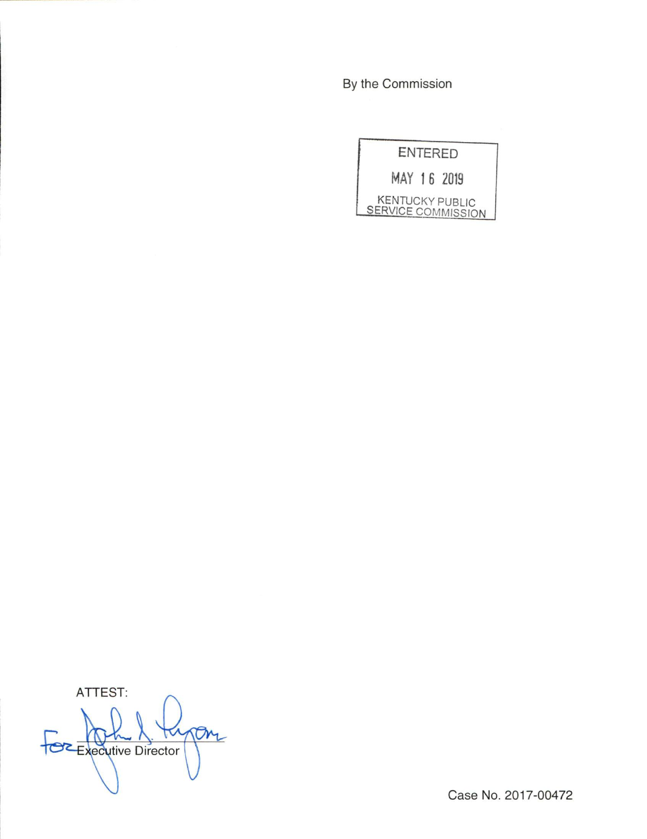By the Commission



ATTEST:  $\sigma$ **Executive Director** 

Case No. 2017-00472